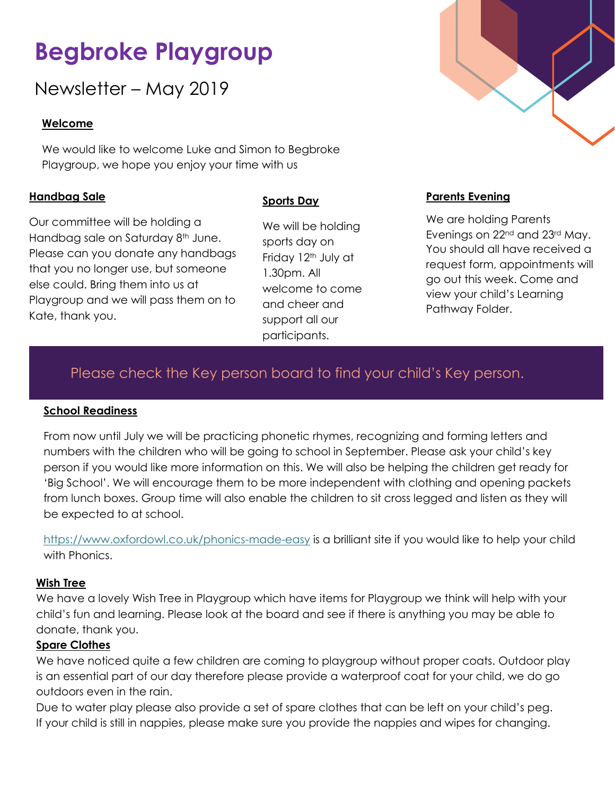# **Begbroke Playgroup**

Newsletter – May 2019

#### **Welcome**

We would like to welcome Luke and Simon to Begbroke Playgroup, we hope you enjoy your time with us

#### **Handbag Sale**

Our committee will be holding a Handbag sale on Saturday 8<sup>th</sup> June. Please can you donate any handbags that you no longer use, but someone else could. Bring them into us at Playgroup and we will pass them on to Kate, thank you.

#### **Sports Day**

We will be holding sports day on Friday 12<sup>th</sup> July at 1.30pm. All welcome to come and cheer and support all our participants.

#### **Parents Evening**

We are holding Parents Evenings on 22<sup>nd</sup> and 23<sup>rd</sup> May. You should all have received a request form, appointments will go out this week. Come and view your child's Learning Pathway Folder.

# Please check the Key person board to find your child's Key person.

#### **School Readiness**

From now until July we will be practicing phonetic rhymes, recognizing and forming letters and numbers with the children who will be going to school in September. Please ask your child's key person if you would like more information on this. We will also be helping the children get ready for 'Big School'. We will encourage them to be more independent with clothing and opening packets from lunch boxes. Group time will also enable the children to sit cross legged and listen as they will be expected to at school.

<https://www.oxfordowl.co.uk/phonics-made-easy> is a brilliant site if you would like to help your child with Phonics.

#### **Wish Tree**

We have a lovely Wish Tree in Playgroup which have items for Playgroup we think will help with your child's fun and learning. Please look at the board and see if there is anything you may be able to donate, thank you.

#### **Spare Clothes**

We have noticed quite a few children are coming to playgroup without proper coats. Outdoor play is an essential part of our day therefore please provide a waterproof coat for your child, we do go outdoors even in the rain.

Due to water play please also provide a set of spare clothes that can be left on your child's peg. If your child is still in nappies, please make sure you provide the nappies and wipes for changing.